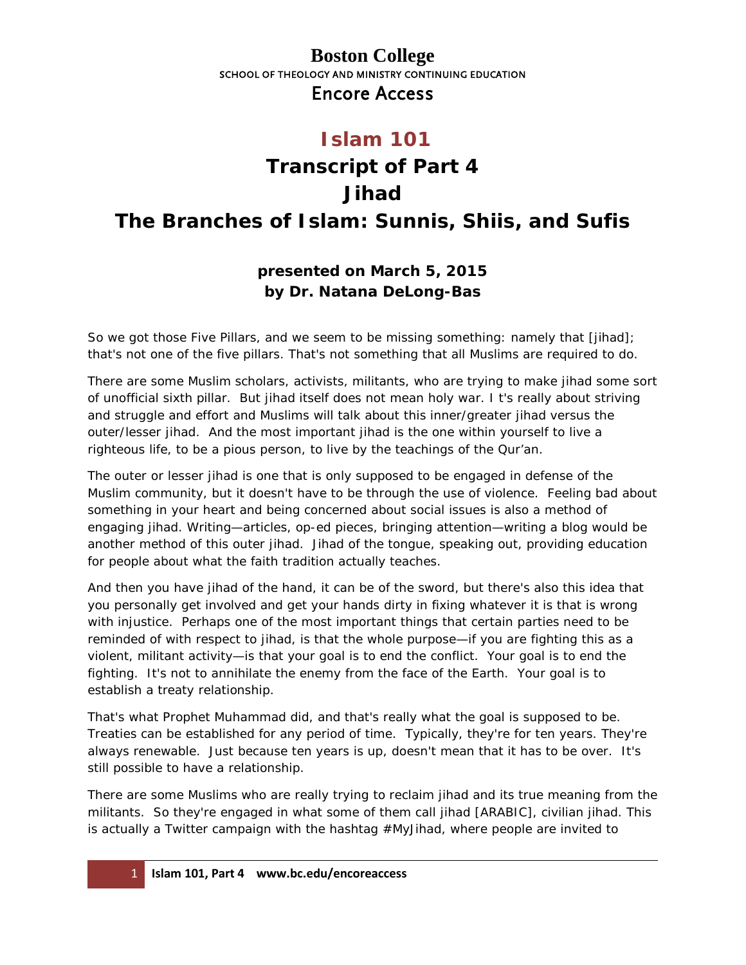#### **Boston College** SCHOOL OF THEOLOGY AND MINISTRY CONTINUING EDUCATION Encore Access

### **Islam 101**

# **Transcript of Part 4 Jihad The Branches of Islam: Sunnis, Shiis, and Sufis**

#### **presented on March 5, 2015 by Dr. Natana DeLong-Bas**

So we got those Five Pillars, and we seem to be missing something: namely that [*jihad*]; that's not one of the five pillars. That's not something that all Muslims are required to do.

There are some Muslim scholars, activists, militants, who are trying to make jihad some sort of unofficial sixth pillar. But jihad itself does not mean holy war. I t's really about striving and struggle and effort and Muslims will talk about this inner/greater jihad versus the outer/lesser jihad. And the most important jihad is the one within yourself to live a righteous life, to be a pious person, to live by the teachings of the Qur'an.

The outer or lesser jihad is one that is only supposed to be engaged in defense of the Muslim community, but it doesn't have to be through the use of violence. Feeling bad about something in your heart and being concerned about social issues is also a method of engaging jihad. Writing—articles, op-ed pieces, bringing attention—writing a blog would be another method of this outer jihad. Jihad of the tongue, speaking out, providing education for people about what the faith tradition actually teaches.

And then you have jihad of the hand, it can be of the sword, but there's also this idea that you personally get involved and get your hands dirty in fixing whatever it is that is wrong with injustice. Perhaps one of the most important things that certain parties need to be reminded of with respect to jihad, is that the whole purpose—if you are fighting this as a violent, militant activity—is that your goal is to end the conflict. Your goal is to end the fighting. It's not to annihilate the enemy from the face of the Earth. Your goal is to establish a treaty relationship.

That's what Prophet Muhammad did, and that's really what the goal is supposed to be. Treaties can be established for any period of time. Typically, they're for ten years. They're always renewable. Just because ten years is up, doesn't mean that it has to be over. It's still possible to have a relationship.

There are some Muslims who are really trying to reclaim jihad and its true meaning from the militants. So they're engaged in what some of them call jihad [ARABIC], civilian jihad. This is actually a Twitter campaign with the hashtag #MyJihad, where people are invited to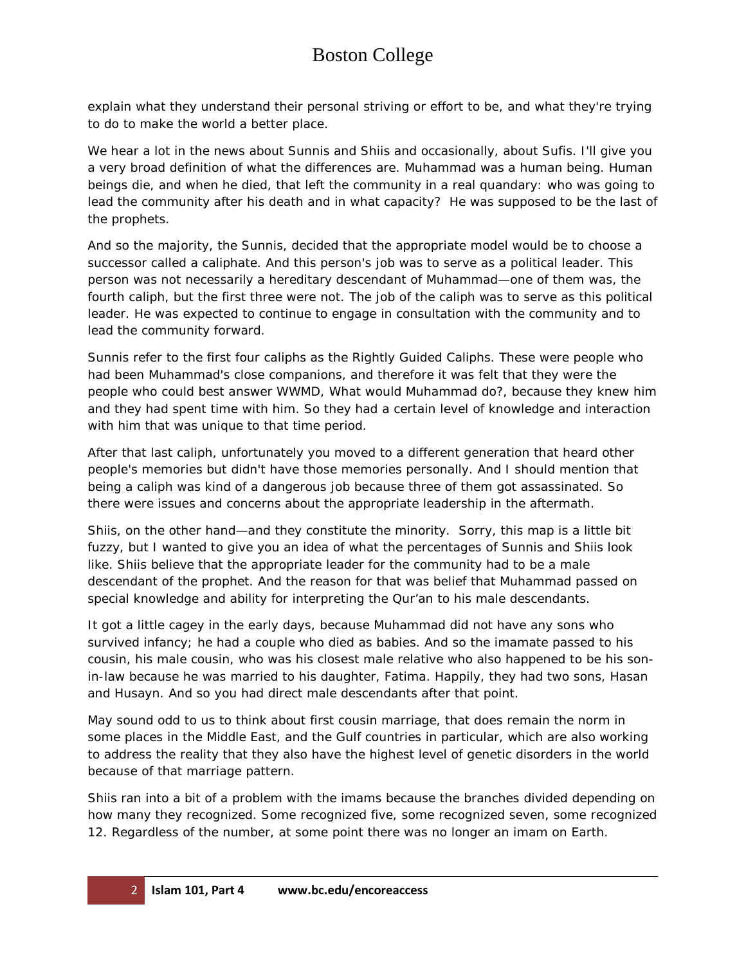# Boston College

explain what they understand their personal striving or effort to be, and what they're trying to do to make the world a better place.

We hear a lot in the news about Sunnis and Shiis and occasionally, about Sufis. I'll give you a very broad definition of what the differences are. Muhammad was a human being. Human beings die, and when he died, that left the community in a real quandary: who was going to lead the community after his death and in what capacity? He was supposed to be the last of the prophets.

And so the majority, the Sunnis, decided that the appropriate model would be to choose a successor called a caliphate. And this person's job was to serve as a political leader. This person was not necessarily a hereditary descendant of Muhammad—one of them was, the fourth caliph, but the first three were not. The job of the caliph was to serve as this political leader. He was expected to continue to engage in consultation with the community and to lead the community forward.

Sunnis refer to the first four caliphs as the Rightly Guided Caliphs. These were people who had been Muhammad's close companions, and therefore it was felt that they were the people who could best answer WWMD, *What would Muhammad do?*, because they knew him and they had spent time with him. So they had a certain level of knowledge and interaction with him that was unique to that time period.

After that last caliph, unfortunately you moved to a different generation that heard other people's memories but didn't have those memories personally. And I should mention that being a caliph was kind of a dangerous job because three of them got assassinated. So there were issues and concerns about the appropriate leadership in the aftermath.

Shiis, on the other hand—and they constitute the minority. Sorry, this map is a little bit fuzzy, but I wanted to give you an idea of what the percentages of Sunnis and Shiis look like. Shiis believe that the appropriate leader for the community had to be a male descendant of the prophet. And the reason for that was belief that Muhammad passed on special knowledge and ability for interpreting the Qur'an to his male descendants.

It got a little cagey in the early days, because Muhammad did not have any sons who survived infancy; he had a couple who died as babies. And so the imamate passed to his cousin, his male cousin, who was his closest male relative who also happened to be his sonin-law because he was married to his daughter, Fatima. Happily, they had two sons, Hasan and Husayn. And so you had direct male descendants after that point.

May sound odd to us to think about first cousin marriage, that does remain the norm in some places in the Middle East, and the Gulf countries in particular, which are also working to address the reality that they also have the highest level of genetic disorders in the world because of that marriage pattern.

Shiis ran into a bit of a problem with the imams because the branches divided depending on how many they recognized. Some recognized five, some recognized seven, some recognized 12. Regardless of the number, at some point there was no longer an imam on Earth.